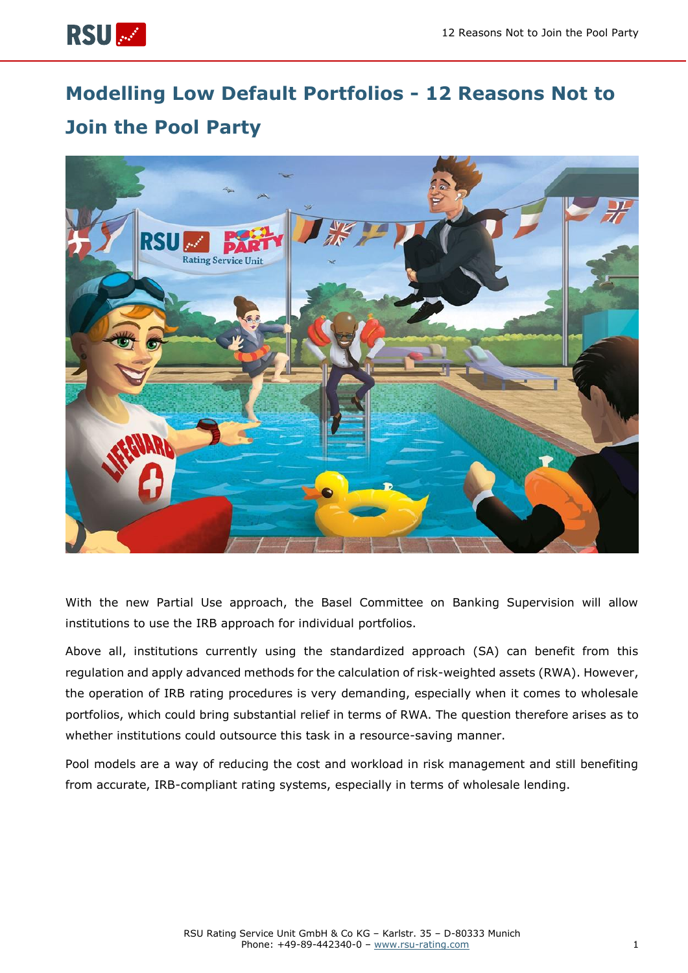

# **Modelling Low Default Portfolios - 12 Reasons Not to Join the Pool Party**



With the new Partial Use approach, the Basel Committee on Banking Supervision will allow institutions to use the IRB approach for individual portfolios.

Above all, institutions currently using the standardized approach (SA) can benefit from this regulation and apply advanced methods for the calculation of risk-weighted assets (RWA). However, the operation of IRB rating procedures is very demanding, especially when it comes to wholesale portfolios, which could bring substantial relief in terms of RWA. The question therefore arises as to whether institutions could outsource this task in a resource-saving manner.

Pool models are a way of reducing the cost and workload in risk management and still benefiting from accurate, IRB-compliant rating systems, especially in terms of wholesale lending.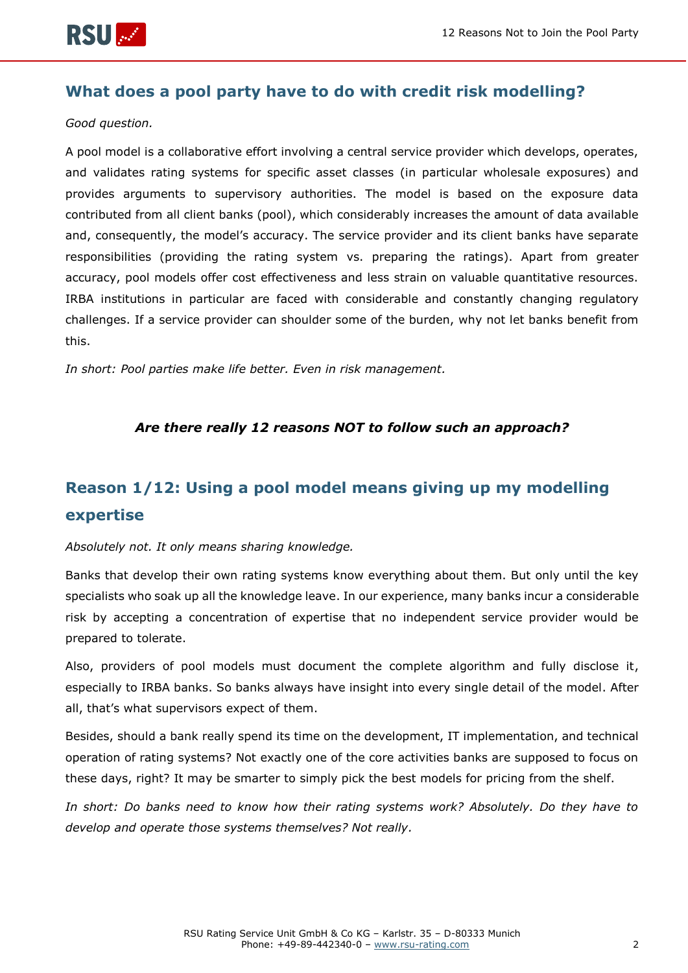

### **What does a pool party have to do with credit risk modelling?**

#### *Good question.*

A pool model is a collaborative effort involving a central service provider which develops, operates, and validates rating systems for specific asset classes (in particular wholesale exposures) and provides arguments to supervisory authorities. The model is based on the exposure data contributed from all client banks (pool), which considerably increases the amount of data available and, consequently, the model's accuracy. The service provider and its client banks have separate responsibilities (providing the rating system vs. preparing the ratings). Apart from greater accuracy, pool models offer cost effectiveness and less strain on valuable quantitative resources. IRBA institutions in particular are faced with considerable and constantly changing regulatory challenges. If a service provider can shoulder some of the burden, why not let banks benefit from this.

*In short: Pool parties make life better. Even in risk management.*

### *Are there really 12 reasons NOT to follow such an approach?*

## **Reason 1/12: Using a pool model means giving up my modelling expertise**

#### *Absolutely not. It only means sharing knowledge.*

Banks that develop their own rating systems know everything about them. But only until the key specialists who soak up all the knowledge leave. In our experience, many banks incur a considerable risk by accepting a concentration of expertise that no independent service provider would be prepared to tolerate.

Also, providers of pool models must document the complete algorithm and fully disclose it, especially to IRBA banks. So banks always have insight into every single detail of the model. After all, that's what supervisors expect of them.

Besides, should a bank really spend its time on the development, IT implementation, and technical operation of rating systems? Not exactly one of the core activities banks are supposed to focus on these days, right? It may be smarter to simply pick the best models for pricing from the shelf.

*In short: Do banks need to know how their rating systems work? Absolutely. Do they have to develop and operate those systems themselves? Not really.*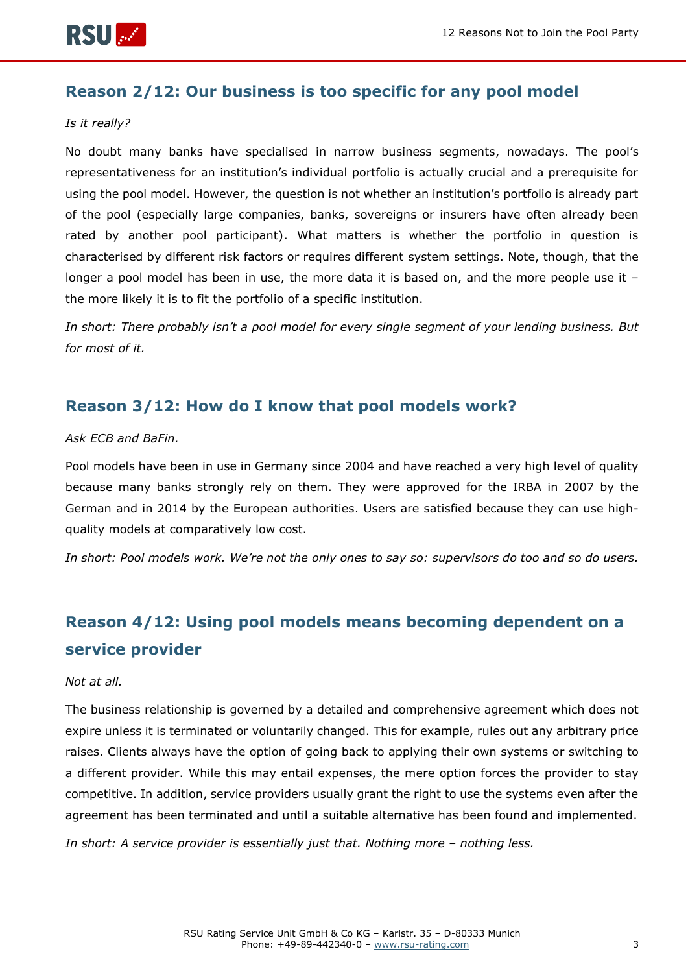

### **Reason 2/12: Our business is too specific for any pool model**

#### *Is it really?*

No doubt many banks have specialised in narrow business segments, nowadays. The pool's representativeness for an institution's individual portfolio is actually crucial and a prerequisite for using the pool model. However, the question is not whether an institution's portfolio is already part of the pool (especially large companies, banks, sovereigns or insurers have often already been rated by another pool participant). What matters is whether the portfolio in question is characterised by different risk factors or requires different system settings. Note, though, that the longer a pool model has been in use, the more data it is based on, and the more people use it – the more likely it is to fit the portfolio of a specific institution.

*In short: There probably isn't a pool model for every single segment of your lending business. But for most of it.*

### **Reason 3/12: How do I know that pool models work?**

#### *Ask ECB and BaFin.*

Pool models have been in use in Germany since 2004 and have reached a very high level of quality because many banks strongly rely on them. They were approved for the IRBA in 2007 by the German and in 2014 by the European authorities. Users are satisfied because they can use highquality models at comparatively low cost.

*In short: Pool models work. We're not the only ones to say so: supervisors do too and so do users.*

### **Reason 4/12: Using pool models means becoming dependent on a service provider**

#### *Not at all.*

The business relationship is governed by a detailed and comprehensive agreement which does not expire unless it is terminated or voluntarily changed. This for example, rules out any arbitrary price raises. Clients always have the option of going back to applying their own systems or switching to a different provider. While this may entail expenses, the mere option forces the provider to stay competitive. In addition, service providers usually grant the right to use the systems even after the agreement has been terminated and until a suitable alternative has been found and implemented.

*In short: A service provider is essentially just that. Nothing more – nothing less.*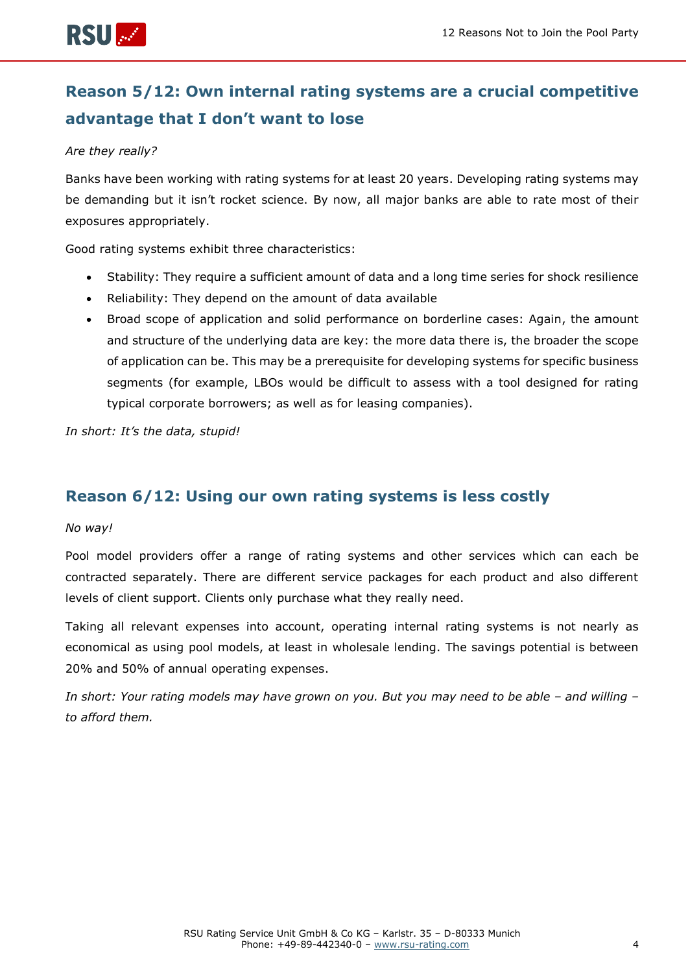

## **Reason 5/12: Own internal rating systems are a crucial competitive advantage that I don't want to lose**

#### *Are they really?*

Banks have been working with rating systems for at least 20 years. Developing rating systems may be demanding but it isn't rocket science. By now, all major banks are able to rate most of their exposures appropriately.

Good rating systems exhibit three characteristics:

- Stability: They require a sufficient amount of data and a long time series for shock resilience
- Reliability: They depend on the amount of data available
- Broad scope of application and solid performance on borderline cases: Again, the amount and structure of the underlying data are key: the more data there is, the broader the scope of application can be. This may be a prerequisite for developing systems for specific business segments (for example, LBOs would be difficult to assess with a tool designed for rating typical corporate borrowers; as well as for leasing companies).

*In short: It's the data, stupid!*

### **Reason 6/12: Using our own rating systems is less costly**

#### *No way!*

Pool model providers offer a range of rating systems and other services which can each be contracted separately. There are different service packages for each product and also different levels of client support. Clients only purchase what they really need.

Taking all relevant expenses into account, operating internal rating systems is not nearly as economical as using pool models, at least in wholesale lending. The savings potential is between 20% and 50% of annual operating expenses.

*In short: Your rating models may have grown on you. But you may need to be able – and willing – to afford them.*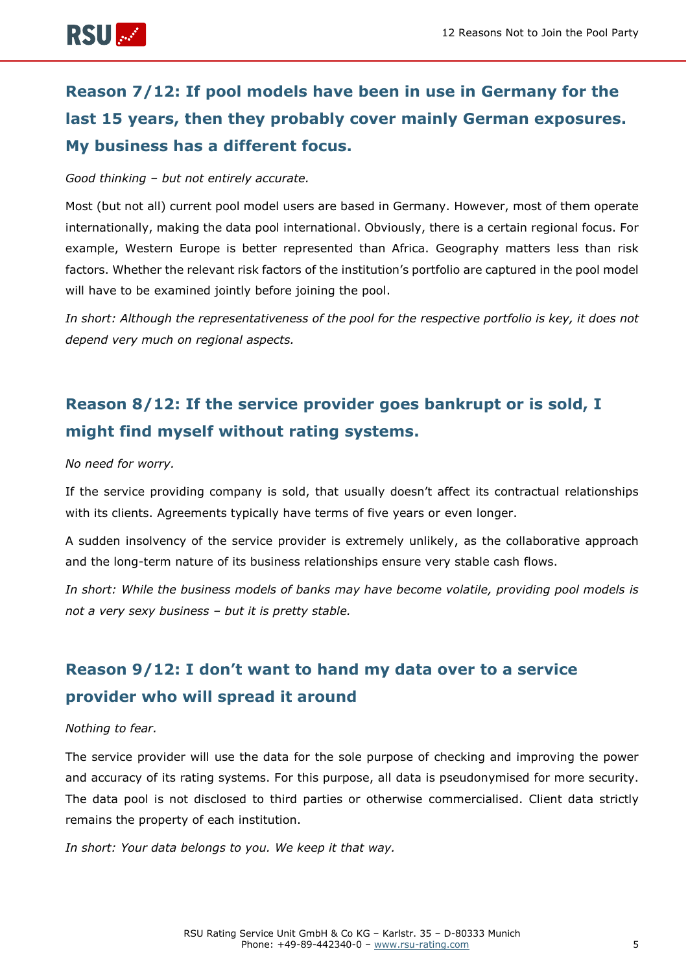

## **Reason 7/12: If pool models have been in use in Germany for the last 15 years, then they probably cover mainly German exposures. My business has a different focus.**

#### *Good thinking – but not entirely accurate.*

Most (but not all) current pool model users are based in Germany. However, most of them operate internationally, making the data pool international. Obviously, there is a certain regional focus. For example, Western Europe is better represented than Africa. Geography matters less than risk factors. Whether the relevant risk factors of the institution's portfolio are captured in the pool model will have to be examined jointly before joining the pool.

*In short: Although the representativeness of the pool for the respective portfolio is key, it does not depend very much on regional aspects.*

## **Reason 8/12: If the service provider goes bankrupt or is sold, I might find myself without rating systems.**

#### *No need for worry.*

If the service providing company is sold, that usually doesn't affect its contractual relationships with its clients. Agreements typically have terms of five years or even longer.

A sudden insolvency of the service provider is extremely unlikely, as the collaborative approach and the long-term nature of its business relationships ensure very stable cash flows.

*In short: While the business models of banks may have become volatile, providing pool models is not a very sexy business – but it is pretty stable.*

### **Reason 9/12: I don't want to hand my data over to a service provider who will spread it around**

#### *Nothing to fear.*

The service provider will use the data for the sole purpose of checking and improving the power and accuracy of its rating systems. For this purpose, all data is pseudonymised for more security. The data pool is not disclosed to third parties or otherwise commercialised. Client data strictly remains the property of each institution.

*In short: Your data belongs to you. We keep it that way.*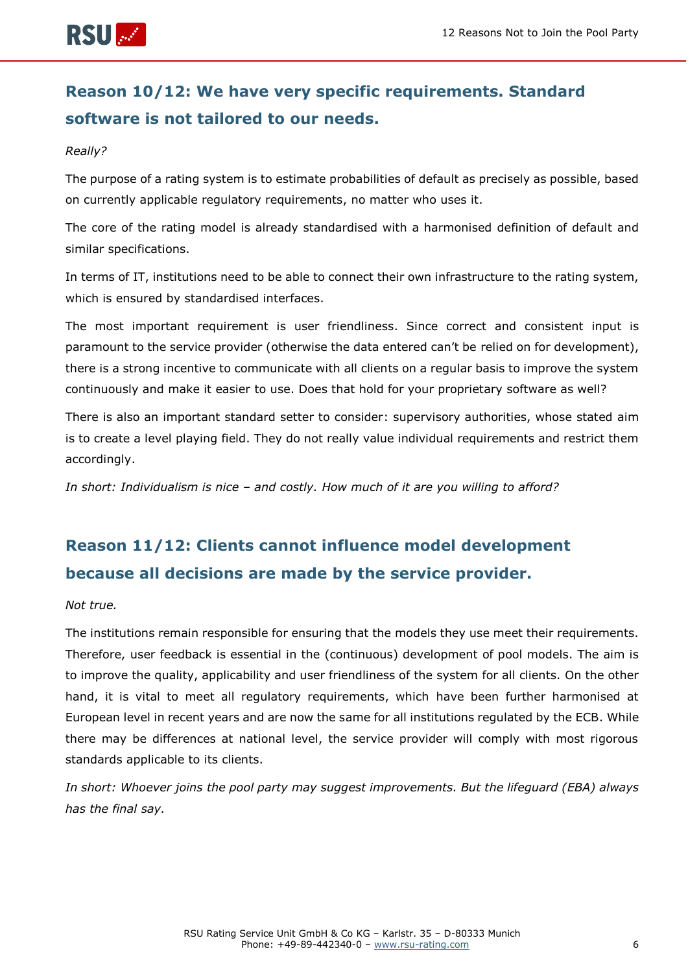

## **Reason 10/12: We have very specific requirements. Standard software is not tailored to our needs.**

#### *Really?*

The purpose of a rating system is to estimate probabilities of default as precisely as possible, based on currently applicable regulatory requirements, no matter who uses it.

The core of the rating model is already standardised with a harmonised definition of default and similar specifications.

In terms of IT, institutions need to be able to connect their own infrastructure to the rating system, which is ensured by standardised interfaces.

The most important requirement is user friendliness. Since correct and consistent input is paramount to the service provider (otherwise the data entered can't be relied on for development), there is a strong incentive to communicate with all clients on a regular basis to improve the system continuously and make it easier to use. Does that hold for your proprietary software as well?

There is also an important standard setter to consider: supervisory authorities, whose stated aim is to create a level playing field. They do not really value individual requirements and restrict them accordingly.

*In short: Individualism is nice – and costly. How much of it are you willing to afford?*

## **Reason 11/12: Clients cannot influence model development because all decisions are made by the service provider.**

#### *Not true.*

The institutions remain responsible for ensuring that the models they use meet their requirements. Therefore, user feedback is essential in the (continuous) development of pool models. The aim is to improve the quality, applicability and user friendliness of the system for all clients. On the other hand, it is vital to meet all regulatory requirements, which have been further harmonised at European level in recent years and are now the same for all institutions regulated by the ECB. While there may be differences at national level, the service provider will comply with most rigorous standards applicable to its clients.

*In short: Whoever joins the pool party may suggest improvements. But the lifeguard (EBA) always has the final say.*